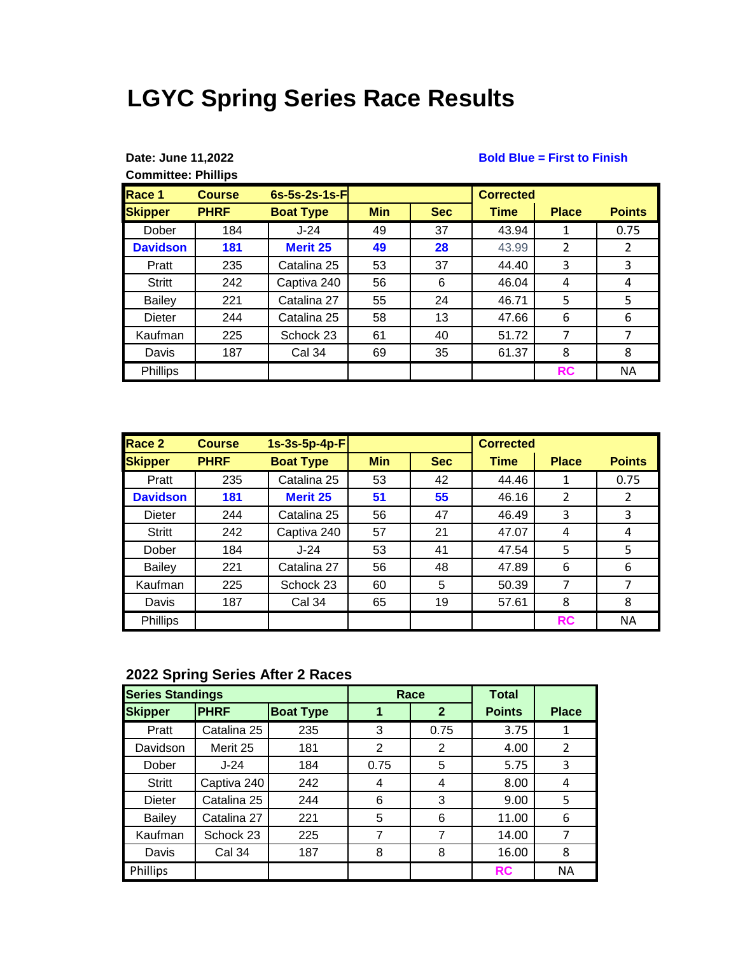# **LGYC Spring Series Race Results**

| Date: June 11,2022         |  |
|----------------------------|--|
| <b>Committee: Phillips</b> |  |

#### **Bold Blue = First to Finish**

| Race 1          | <b>Course</b> | $6s-5s-2s-1s-Fl$ |            |            | <b>Corrected</b> |              |                |
|-----------------|---------------|------------------|------------|------------|------------------|--------------|----------------|
| <b>Skipper</b>  | <b>PHRF</b>   | <b>Boat Type</b> | <b>Min</b> | <b>Sec</b> | <b>Time</b>      | <b>Place</b> | <b>Points</b>  |
| Dober           | 184           | $J-24$           | 49         | 37         | 43.94            | 1            | 0.75           |
| <b>Davidson</b> | 181           | <b>Merit 25</b>  | 49         | 28         | 43.99            | 2            | $\overline{2}$ |
| Pratt           | 235           | Catalina 25      | 53         | 37         | 44.40            | 3            | 3              |
| <b>Stritt</b>   | 242           | Captiva 240      | 56         | 6          | 46.04            | 4            | 4              |
| <b>Bailey</b>   | 221           | Catalina 27      | 55         | 24         | 46.71            | 5            | 5              |
| Dieter          | 244           | Catalina 25      | 58         | 13         | 47.66            | 6            | 6              |
| Kaufman         | 225           | Schock 23        | 61         | 40         | 51.72            | 7            | 7              |
| Davis           | 187           | Cal 34           | 69         | 35         | 61.37            | 8            | 8              |
| <b>Phillips</b> |               |                  |            |            |                  | <b>RC</b>    | <b>NA</b>      |

| Race 2          | <b>Course</b> | $1s-3s-5p-4p-F$  |            |            | <b>Corrected</b> |              |               |
|-----------------|---------------|------------------|------------|------------|------------------|--------------|---------------|
| <b>Skipper</b>  | <b>PHRF</b>   | <b>Boat Type</b> | <b>Min</b> | <b>Sec</b> | <b>Time</b>      | <b>Place</b> | <b>Points</b> |
| Pratt           | 235           | Catalina 25      | 53         | 42         | 44.46            | 1            | 0.75          |
| <b>Davidson</b> | 181           | <b>Merit 25</b>  | 51         | 55         | 46.16            | 2            | $\mathcal{P}$ |
| Dieter          | 244           | Catalina 25      | 56         | 47         | 46.49            | 3            | 3             |
| <b>Stritt</b>   | 242           | Captiva 240      | 57         | 21         | 47.07            | 4            | 4             |
| Dober           | 184           | $J-24$           | 53         | 41         | 47.54            | 5            | 5             |
| Bailey          | 221           | Catalina 27      | 56         | 48         | 47.89            | 6            | 6             |
| Kaufman         | 225           | Schock 23        | 60         | 5          | 50.39            | 7            |               |
| Davis           | 187           | Cal 34           | 65         | 19         | 57.61            | 8            | 8             |
| Phillips        |               |                  |            |            |                  | <b>RC</b>    | <b>NA</b>     |

## **2022 Spring Series After 2 Races**

| <b>Series Standings</b> |               |                  |                | Race         | <b>Total</b>  |              |
|-------------------------|---------------|------------------|----------------|--------------|---------------|--------------|
| <b>Skipper</b>          | <b>PHRF</b>   | <b>Boat Type</b> |                | $\mathbf{2}$ | <b>Points</b> | <b>Place</b> |
| Pratt                   | Catalina 25   | 235              | 3              | 0.75         | 3.75          |              |
| Davidson                | Merit 25      | 181              | $\overline{2}$ | 2            | 4.00          | 2            |
| Dober                   | $J-24$        | 184              | 0.75           | 5            | 5.75          | 3            |
| <b>Stritt</b>           | Captiva 240   | 242              | 4              | 4            | 8.00          | 4            |
| Dieter                  | Catalina 25   | 244              | 6              | 3            | 9.00          | 5            |
| <b>Bailey</b>           | Catalina 27   | 221              | 5              | 6            | 11.00         | 6            |
| Kaufman                 | Schock 23     | 225              | 7              | 7            | 14.00         |              |
| Davis                   | <b>Cal 34</b> | 187              | 8              | 8            | 16.00         | 8            |
| <b>Phillips</b>         |               |                  |                |              | <b>RC</b>     | <b>NA</b>    |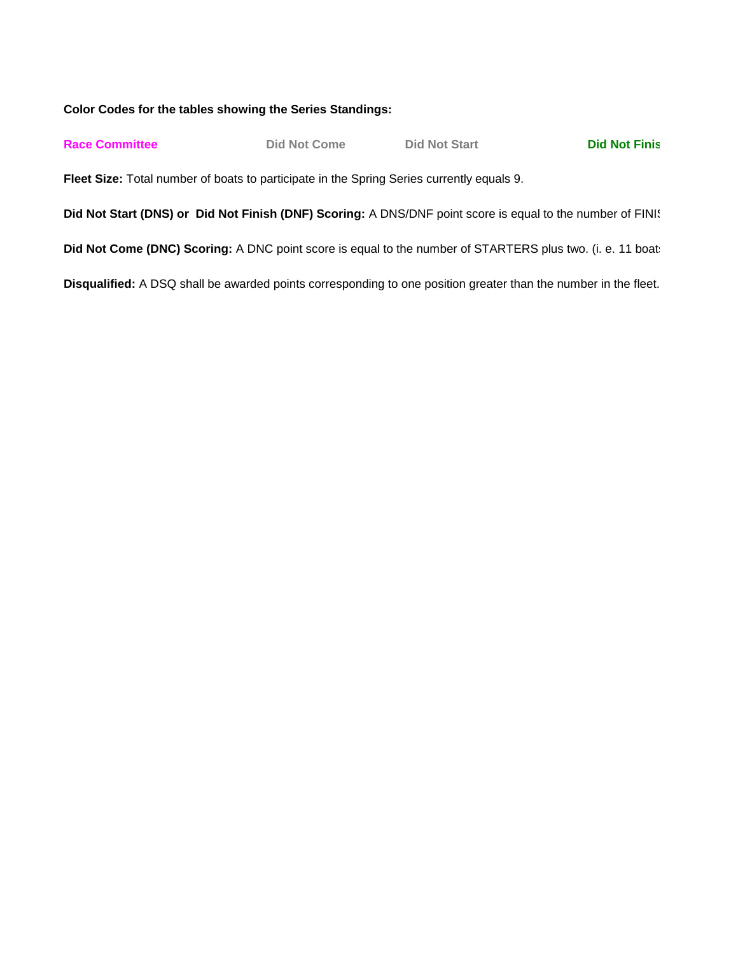### **Color Codes for the tables showing the Series Standings:**

| <b>Race Committee</b> | Did Not Come                                                                                                    | <b>Did Not Start</b> | <b>Did Not Finis</b> |
|-----------------------|-----------------------------------------------------------------------------------------------------------------|----------------------|----------------------|
|                       | Fleet Size: Total number of boats to participate in the Spring Series currently equals 9.                       |                      |                      |
|                       | Did Not Start (DNS) or Did Not Finish (DNF) Scoring: A DNS/DNF point score is equal to the number of FINI!      |                      |                      |
|                       | Did Not Come (DNC) Scoring: A DNC point score is equal to the number of STARTERS plus two. (i. e. 11 boat:      |                      |                      |
|                       | Disqualified: A DSQ shall be awarded points corresponding to one position greater than the number in the fleet. |                      |                      |